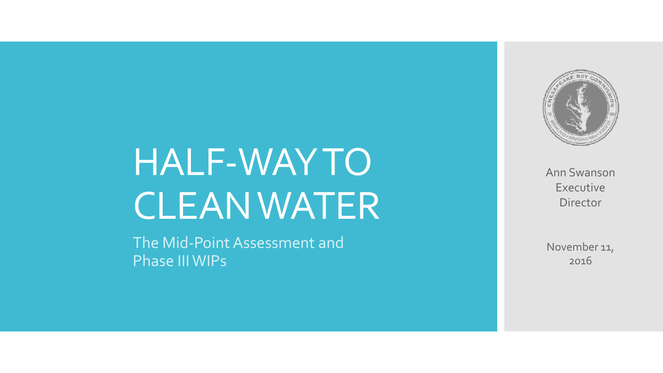## HALF -WAY TO CLEAN WATER

The Mid -Point Assessment and Phase III WIPs



Ann Swanson Executive Director

November 11, 2016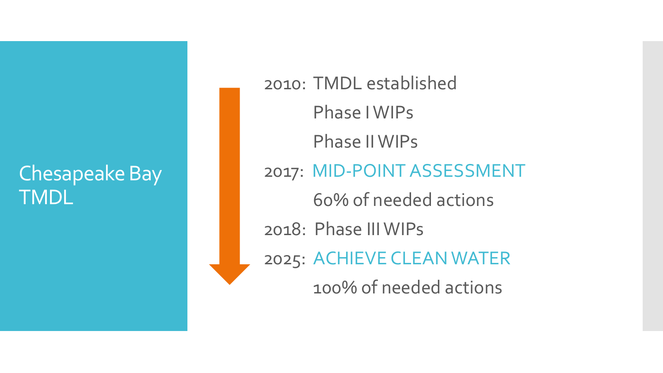#### Chesapeake Bay TMDL

2010: TMDL established Phase I WIPs Phase II WIPs 2017: MID-POINT ASSESSMENT 60% of needed actions 2018: Phase III WIPs 2025: ACHIEVE CLEAN WATER 100% of needed actions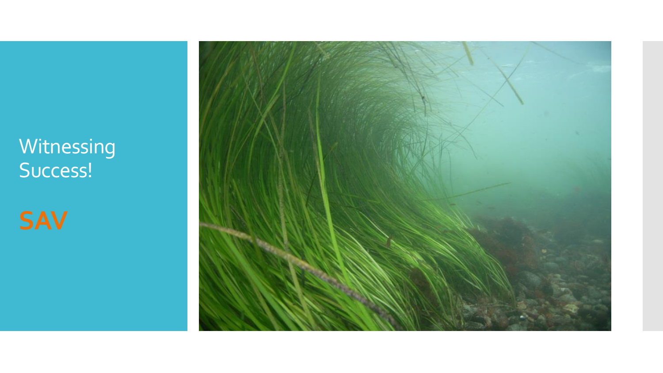### **Witnessing** Success!

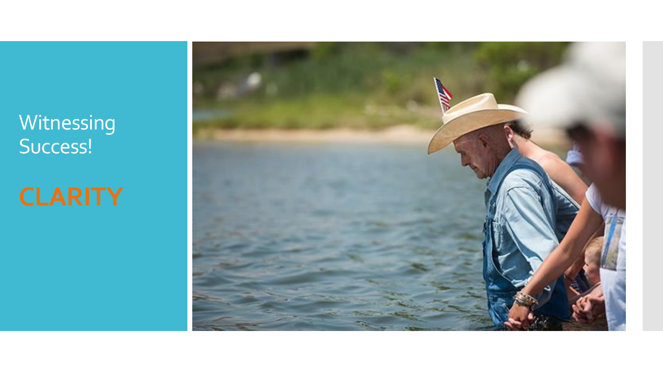**Witnessing** Success!

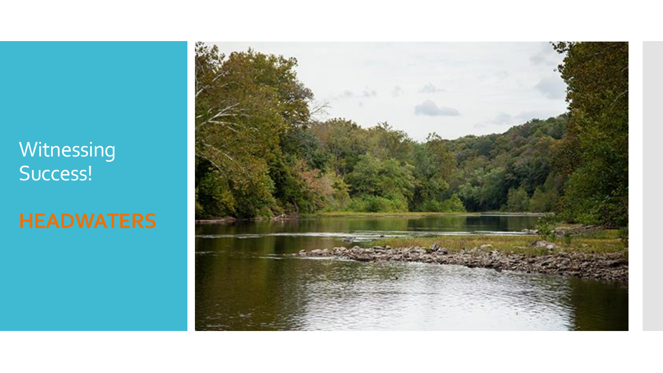#### **Witnessing** Success!

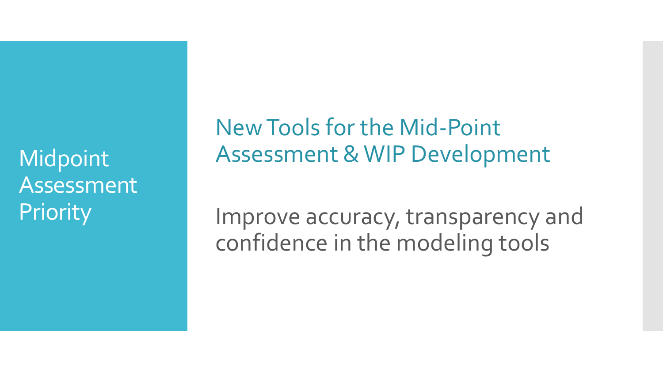**Midpoint** Assessment **Priority** 

New Tools for the Mid-Point Assessment & WIP Development

Improve accuracy, transparency and confidence in the modeling tools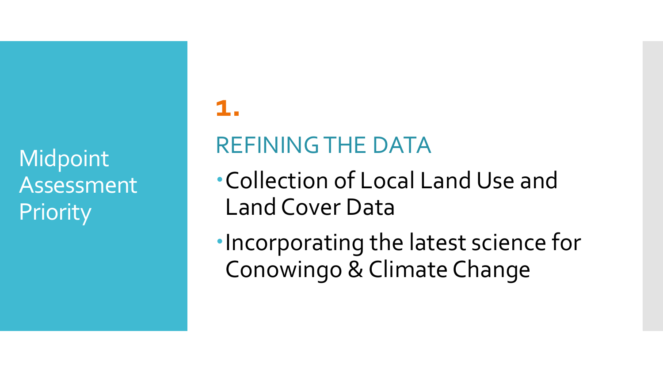**Midpoint** Assessment **Priority** 

#### **1.**

## REFINING THE DATA

Collection of Local Land Use and Land Cover Data

Incorporating the latest science for Conowingo & Climate Change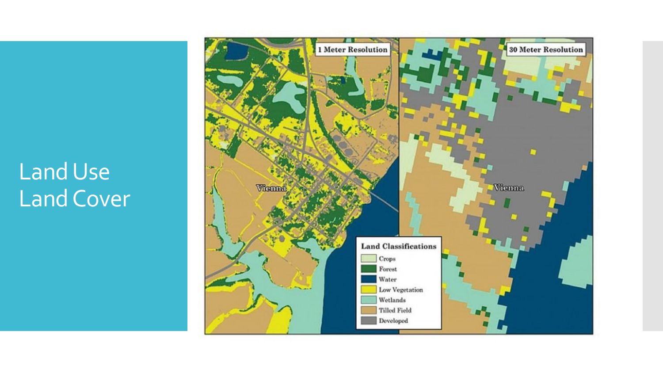## Land Use Land Cover

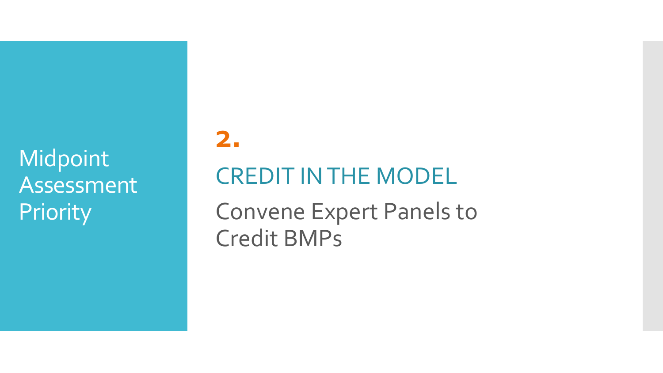Midpoint Assessment **Priority** 

## **2.** CREDIT IN THE MODEL

Convene Expert Panels to Credit BMPs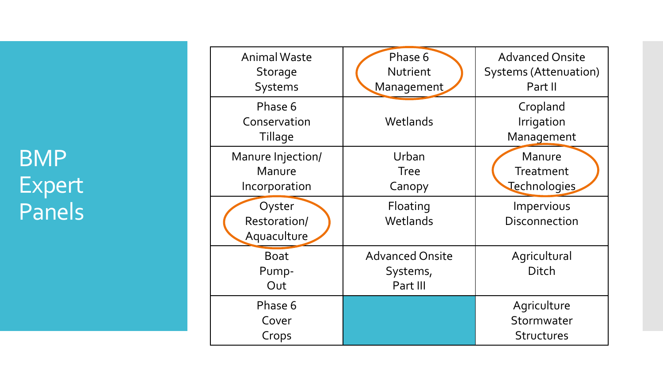BMP Expert Panels

| <b>Animal Waste</b><br><b>Storage</b><br>Systems | Phase 6<br><b>Nutrient</b><br>Management       | <b>Advanced Onsite</b><br><b>Systems (Attenuation)</b><br>Part II |
|--------------------------------------------------|------------------------------------------------|-------------------------------------------------------------------|
| Phase 6<br>Conservation<br><b>Tillage</b>        | Wetlands                                       | Cropland<br>Irrigation<br>Management                              |
| Manure Injection/<br>Manure<br>Incorporation     | Urban<br><b>Tree</b><br>Canopy                 | Manure<br>Treatment<br>Technologies                               |
| Oyster<br>Restoration/<br>Aquaculture            | Floating<br>Wetlands                           | Impervious<br><b>Disconnection</b>                                |
| <b>Boat</b><br>Pump-<br>Out                      | <b>Advanced Onsite</b><br>Systems,<br>Part III | Agricultural<br>Ditch                                             |
| Phase 6<br>Cover<br>Crops                        |                                                | Agriculture<br>Stormwater<br><b>Structures</b>                    |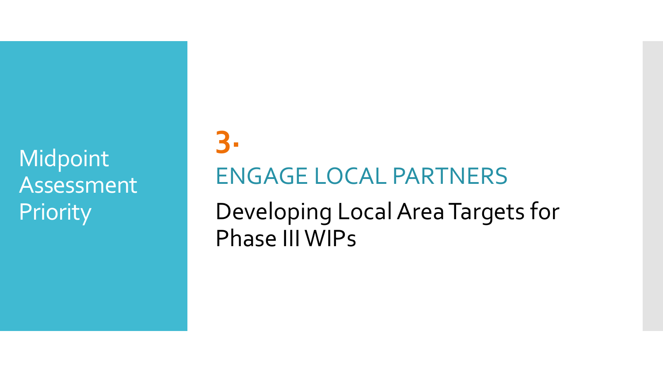Midpoint Assessment **Priority** 

# **3.** ENGAGE LOCAL PARTNERS

Developing Local Area Targets for Phase III WIPs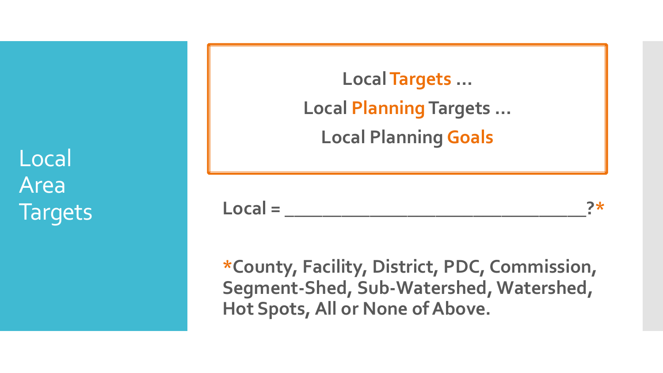Local Area **Targets** 

**Local Targets … Local Planning Targets … Local Planning Goals**

Local = 2\*

**\*County, Facility, District, PDC, Commission, Segment-Shed, Sub-Watershed, Watershed, Hot Spots, All or None of Above.**